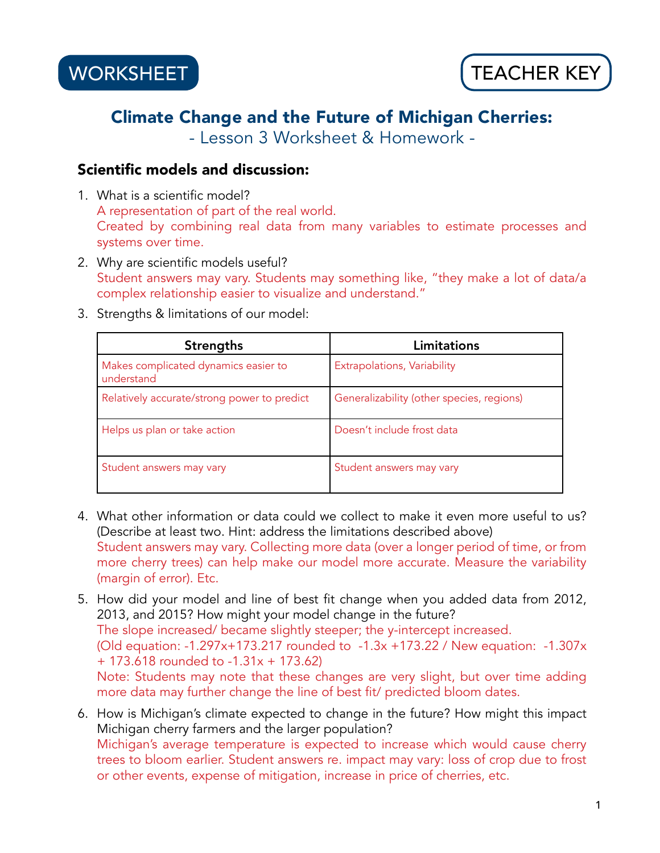## Climate Change and the Future of Michigan Cherries:

- Lesson 3 Worksheet & Homework -

### Scientific models and discussion:

- 1. What is a scientific model? A representation of part of the real world. Created by combining real data from many variables to estimate processes and systems over time.
- 2. Why are scientific models useful? Student answers may vary. Students may something like, "they make a lot of data/a complex relationship easier to visualize and understand."
- 3. Strengths & limitations of our model:

| <b>Strengths</b>                                   | Limitations                               |
|----------------------------------------------------|-------------------------------------------|
| Makes complicated dynamics easier to<br>understand | Extrapolations, Variability               |
| Relatively accurate/strong power to predict        | Generalizability (other species, regions) |
| Helps us plan or take action                       | Doesn't include frost data                |
| Student answers may vary                           | Student answers may vary                  |

- 4. What other information or data could we collect to make it even more useful to us? (Describe at least two. Hint: address the limitations described above) Student answers may vary. Collecting more data (over a longer period of time, or from more cherry trees) can help make our model more accurate. Measure the variability (margin of error). Etc.
- 5. How did your model and line of best fit change when you added data from 2012, 2013, and 2015? How might your model change in the future? The slope increased/ became slightly steeper; the y-intercept increased. (Old equation: -1.297x+173.217 rounded to -1.3x +173.22 / New equation: -1.307x + 173.618 rounded to -1.31x + 173.62) Note: Students may note that these changes are very slight, but over time adding more data may further change the line of best fit/ predicted bloom dates.
- 6. How is Michigan's climate expected to change in the future? How might this impact Michigan cherry farmers and the larger population? Michigan's average temperature is expected to increase which would cause cherry trees to bloom earlier. Student answers re. impact may vary: loss of crop due to frost or other events, expense of mitigation, increase in price of cherries, etc.